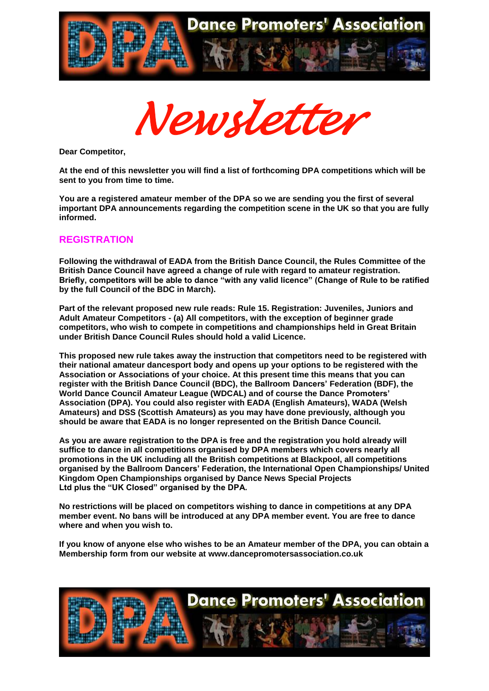



**Dear Competitor,**

**At the end of this newsletter you will find a list of forthcoming DPA competitions which will be sent to you from time to time.**

**You are a registered amateur member of the DPA so we are sending you the first of several important DPA announcements regarding the competition scene in the UK so that you are fully informed.**

#### **REGISTRATION**

**Following the withdrawal of EADA from the British Dance Council, the Rules Committee of the British Dance Council have agreed a change of rule with regard to amateur registration. Briefly, competitors will be able to dance "with any valid licence" (Change of Rule to be ratified by the full Council of the BDC in March).**

**Part of the relevant proposed new rule reads: Rule 15. Registration: Juveniles, Juniors and Adult Amateur Competitors - (a) All competitors, with the exception of beginner grade competitors, who wish to compete in competitions and championships held in Great Britain under British Dance Council Rules should hold a valid Licence.**

**This proposed new rule takes away the instruction that competitors need to be registered with their national amateur dancesport body and opens up your options to be registered with the Association or Associations of your choice. At this present time this means that you can register with the British Dance Council (BDC), the Ballroom Dancers' Federation (BDF), the World Dance Council Amateur League (WDCAL) and of course the Dance Promoters' Association (DPA). You could also register with EADA (English Amateurs), WADA (Welsh Amateurs) and DSS (Scottish Amateurs) as you may have done previously, although you should be aware that EADA is no longer represented on the British Dance Council.**

**As you are aware registration to the DPA is free and the registration you hold already will suffice to dance in all competitions organised by DPA members which covers nearly all promotions in the UK including all the British competitions at Blackpool, all competitions organised by the Ballroom Dancers' Federation, the International Open Championships/ United Kingdom Open Championships organised by Dance News Special Projects Ltd plus the "UK Closed" organised by the DPA.**

**No restrictions will be placed on competitors wishing to dance in competitions at any DPA member event. No bans will be introduced at any DPA member event. You are free to dance where and when you wish to.**

**If you know of anyone else who wishes to be an Amateur member of the DPA, you can obtain a Membership form from our website at www.dancepromotersassociation.co.uk**

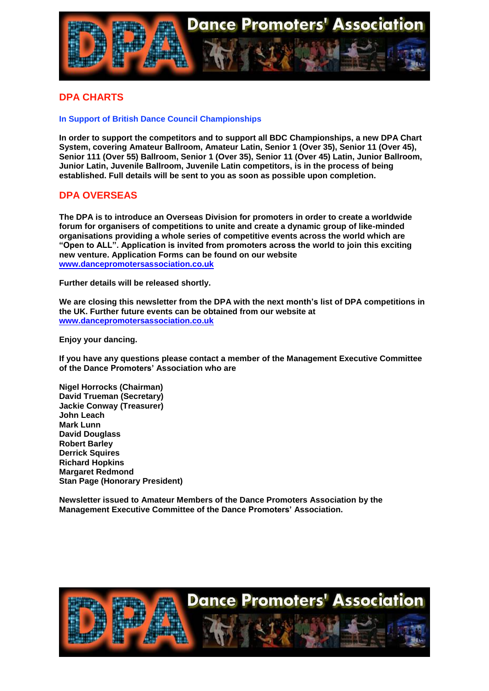

#### **DPA CHARTS**

#### **In Support of British Dance Council Championships**

**In order to support the competitors and to support all BDC Championships, a new DPA Chart System, covering Amateur Ballroom, Amateur Latin, Senior 1 (Over 35), Senior 11 (Over 45), Senior 111 (Over 55) Ballroom, Senior 1 (Over 35), Senior 11 (Over 45) Latin, Junior Ballroom, Junior Latin, Juvenile Ballroom, Juvenile Latin competitors, is in the process of being established. Full details will be sent to you as soon as possible upon completion.**

#### **DPA OVERSEAS**

**The DPA is to introduce an Overseas Division for promoters in order to create a worldwide forum for organisers of competitions to unite and create a dynamic group of like-minded organisations providing a whole series of competitive events across the world which are "Open to ALL". Application is invited from promoters across the world to join this exciting new venture. Application Forms can be found on our website [www.dancepromotersassociation.co.uk](http://www.dancepromotersassociation.co.uk/)**

**Further details will be released shortly.**

**We are closing this newsletter from the DPA with the next month's list of DPA competitions in the UK. Further future events can be obtained from our website at [www.dancepromotersassociation.co.uk](http://www.dancepromotersassociation.co.uk/)**

**Enjoy your dancing.**

**If you have any questions please contact a member of the Management Executive Committee of the Dance Promoters' Association who are**

**Nigel Horrocks (Chairman) David Trueman (Secretary) Jackie Conway (Treasurer) John Leach Mark Lunn David Douglass Robert Barley Derrick Squires Richard Hopkins Margaret Redmond Stan Page (Honorary President)**

**Newsletter issued to Amateur Members of the Dance Promoters Association by the Management Executive Committee of the Dance Promoters' Association.**